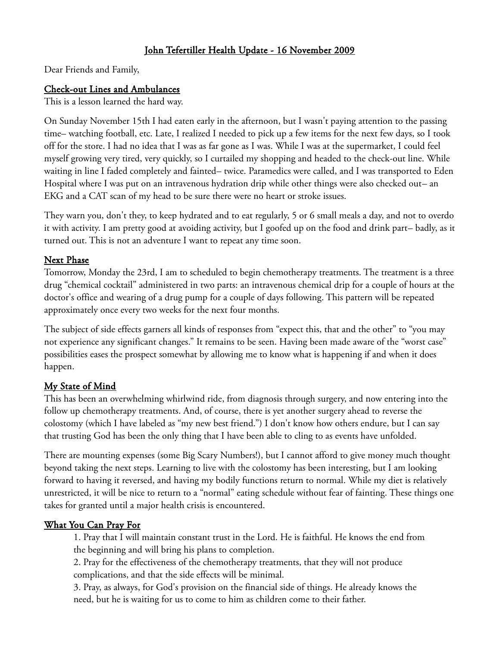# John Tefertiller Health Update - 16 November 2009

Dear Friends and Family,

### Check-out Lines and Ambulances

This is a lesson learned the hard way.

On Sunday November 15th I had eaten early in the afternoon, but I wasn't paying attention to the passing time– watching football, etc. Late, I realized I needed to pick up a few items for the next few days, so I took off for the store. I had no idea that I was as far gone as I was. While I was at the supermarket, I could feel myself growing very tired, very quickly, so I curtailed my shopping and headed to the check-out line. While waiting in line I faded completely and fainted– twice. Paramedics were called, and I was transported to Eden Hospital where I was put on an intravenous hydration drip while other things were also checked out– an EKG and a CAT scan of my head to be sure there were no heart or stroke issues.

They warn you, don't they, to keep hydrated and to eat regularly, 5 or 6 small meals a day, and not to overdo it with activity. I am pretty good at avoiding activity, but I goofed up on the food and drink part– badly, as it turned out. This is not an adventure I want to repeat any time soon.

#### Next Phase

Tomorrow, Monday the 23rd, I am to scheduled to begin chemotherapy treatments. The treatment is a three drug "chemical cocktail" administered in two parts: an intravenous chemical drip for a couple of hours at the doctor's office and wearing of a drug pump for a couple of days following. This pattern will be repeated approximately once every two weeks for the next four months.

The subject of side effects garners all kinds of responses from "expect this, that and the other" to "you may not experience any significant changes." It remains to be seen. Having been made aware of the "worst case" possibilities eases the prospect somewhat by allowing me to know what is happening if and when it does happen.

### My State of Mind

This has been an overwhelming whirlwind ride, from diagnosis through surgery, and now entering into the follow up chemotherapy treatments. And, of course, there is yet another surgery ahead to reverse the colostomy (which I have labeled as "my new best friend.") I don't know how others endure, but I can say that trusting God has been the only thing that I have been able to cling to as events have unfolded.

There are mounting expenses (some Big Scary Numbers!), but I cannot afford to give money much thought beyond taking the next steps. Learning to live with the colostomy has been interesting, but I am looking forward to having it reversed, and having my bodily functions return to normal. While my diet is relatively unrestricted, it will be nice to return to a "normal" eating schedule without fear of fainting. These things one takes for granted until a major health crisis is encountered.

### What You Can Pray For

1. Pray that I will maintain constant trust in the Lord. He is faithful. He knows the end from the beginning and will bring his plans to completion.

2. Pray for the effectiveness of the chemotherapy treatments, that they will not produce complications, and that the side effects will be minimal.

3. Pray, as always, for God's provision on the financial side of things. He already knows the need, but he is waiting for us to come to him as children come to their father.